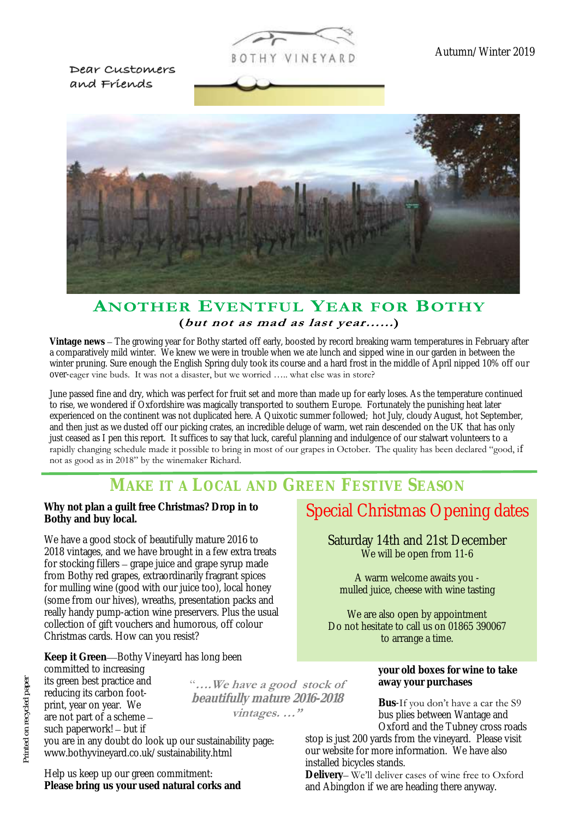

Dear Customers and Friends



#### **ANOTHER EVENTEUL YEAR FOR BOTHY** (but not as mad as last year......)

**Vintage news** – The growing year for Bothy started off early, boosted by record breaking warm temperatures in February after a comparatively mild winter. We knew we were in trouble when we ate lunch and sipped wine in our garden in between the winter pruning. Sure enough the English Spring duly took its course and a hard frost in the middle of April nipped 10% off our over-eager vine buds. It was not a disaster, but we worried ….. what else was in store?

June passed fine and dry, which was perfect for fruit set and more than made up for early loses. As the temperature continued to rise, we wondered if Oxfordshire was magically transported to southern Europe. Fortunately the punishing heat later experienced on the continent was not duplicated here. A Quixotic summer followed; hot July, cloudy August, hot September, and then just as we dusted off our picking crates, an incredible deluge of warm, wet rain descended on the UK that has only just ceased as I pen this report. It suffices to say that luck, careful planning and indulgence of our stalwart volunteers to a rapidly changing schedule made it possible to bring in most of our grapes in October. The quality has been declared "good, if not as good as in 2018" by the winemaker Richard.

## **MAKE IT A LOCAL AND GREEN FESTIVE SEASON**

**Why not plan a guilt free Christmas? Drop in to Bothy and buy local.**

We have a good stock of beautifully mature 2016 to 2018 vintages, and we have brought in a few extra treats for stocking fillers – grape juice and grape syrup made from Bothy red grapes, extraordinarily fragrant spices for mulling wine (good with our juice too), local honey (some from our hives), wreaths, presentation packs and really handy pump-action wine preservers. Plus the usual collection of gift vouchers and humorous, off colour Christmas cards. How can you resist?

**Keep it Green**—Bothy Vineyard has long been committed to increasing its green best practice and reducing its carbon footprint, year on year. We are not part of a scheme – such paperwork! – but if

"**….We have a good stock of beautifully mature 2016-2018 vintages. …"**

you are in any doubt do look up our sustainability page: www.bothyvineyard.co.uk/sustainability.html

Help us keep up our green commitment: **Please bring us your used natural corks and**

### Special Christmas Opening dates

Saturday 14th and 21st December We will be open from 11-6

A warm welcome awaits you mulled juice, cheese with wine tasting

We are also open by appointment Do not hesitate to call us on 01865 390067 to arrange a time.

> **your old boxes for wine to take away your purchases**

**Bus**-If you don't have a car the S9 bus plies between Wantage and Oxford and the Tubney cross roads

stop is just 200 yards from the vineyard. Please visit our website for more information. We have also installed bicycles stands.

**Delivery**– We'll deliver cases of wine free to Oxford and Abingdon if we are heading there anyway.